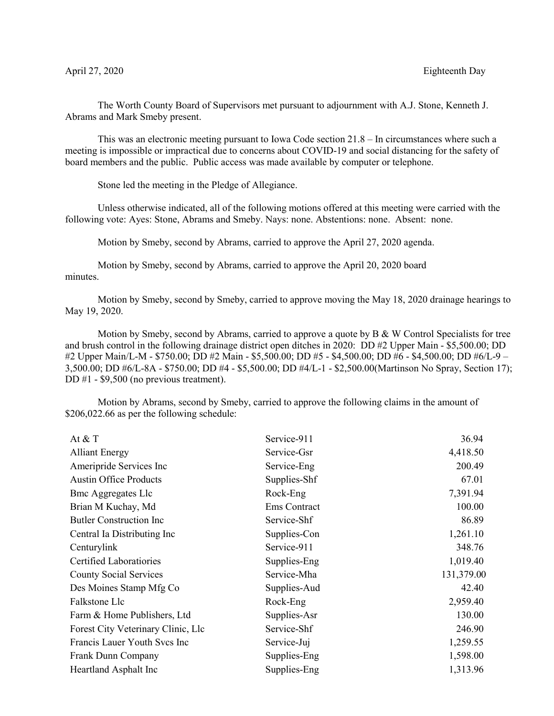The Worth County Board of Supervisors met pursuant to adjournment with A.J. Stone, Kenneth J. Abrams and Mark Smeby present.

This was an electronic meeting pursuant to Iowa Code section 21.8 – In circumstances where such a meeting is impossible or impractical due to concerns about COVID-19 and social distancing for the safety of board members and the public. Public access was made available by computer or telephone.

Stone led the meeting in the Pledge of Allegiance.

Unless otherwise indicated, all of the following motions offered at this meeting were carried with the following vote: Ayes: Stone, Abrams and Smeby. Nays: none. Abstentions: none. Absent: none.

Motion by Smeby, second by Abrams, carried to approve the April 27, 2020 agenda.

Motion by Smeby, second by Abrams, carried to approve the April 20, 2020 board minutes.

Motion by Smeby, second by Smeby, carried to approve moving the May 18, 2020 drainage hearings to May 19, 2020.

Motion by Smeby, second by Abrams, carried to approve a quote by  $B \& W$  Control Specialists for tree and brush control in the following drainage district open ditches in 2020: DD #2 Upper Main - \$5,500.00; DD #2 Upper Main/L-M - \$750.00; DD #2 Main - \$5,500.00; DD #5 - \$4,500.00; DD #6 - \$4,500.00; DD #6/L-9 – 3,500.00; DD #6/L-8A - \$750.00; DD #4 - \$5,500.00; DD #4/L-1 - \$2,500.00(Martinson No Spray, Section 17); DD #1 - \$9,500 (no previous treatment).

Motion by Abrams, second by Smeby, carried to approve the following claims in the amount of \$206,022.66 as per the following schedule:

| At $& $ T                          | Service-911  | 36.94      |
|------------------------------------|--------------|------------|
| <b>Alliant Energy</b>              | Service-Gsr  | 4,418.50   |
| Ameripride Services Inc            | Service-Eng  | 200.49     |
| <b>Austin Office Products</b>      | Supplies-Shf | 67.01      |
| <b>Bmc Aggregates Llc</b>          | Rock-Eng     | 7,391.94   |
| Brian M Kuchay, Md                 | Ems Contract | 100.00     |
| <b>Butler Construction Inc</b>     | Service-Shf  | 86.89      |
| Central Ia Distributing Inc        | Supplies-Con | 1,261.10   |
| Centurylink                        | Service-911  | 348.76     |
| <b>Certified Laboratiories</b>     | Supplies-Eng | 1,019.40   |
| <b>County Social Services</b>      | Service-Mha  | 131,379.00 |
| Des Moines Stamp Mfg Co            | Supplies-Aud | 42.40      |
| Falkstone Llc                      | Rock-Eng     | 2,959.40   |
| Farm & Home Publishers, Ltd        | Supplies-Asr | 130.00     |
| Forest City Veterinary Clinic, Llc | Service-Shf  | 246.90     |
| Francis Lauer Youth Svcs Inc       | Service-Juj  | 1,259.55   |
| Frank Dunn Company                 | Supplies-Eng | 1,598.00   |
| Heartland Asphalt Inc              | Supplies-Eng | 1,313.96   |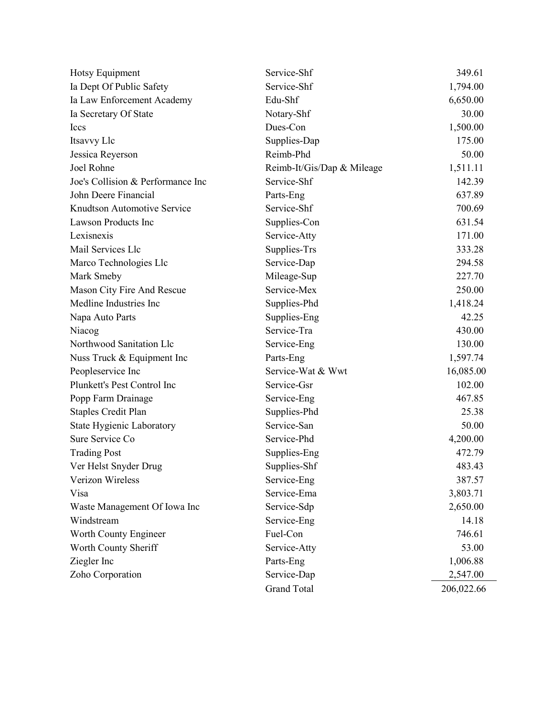| Hotsy Equipment                   | Service-Shf                | 349.61     |
|-----------------------------------|----------------------------|------------|
| Ia Dept Of Public Safety          | Service-Shf                | 1,794.00   |
| Ia Law Enforcement Academy        | Edu-Shf                    | 6,650.00   |
| Ia Secretary Of State             | Notary-Shf                 | 30.00      |
| <b>Iccs</b>                       | Dues-Con                   | 1,500.00   |
| Itsavvy Llc                       | Supplies-Dap               | 175.00     |
| Jessica Reyerson                  | Reimb-Phd                  | 50.00      |
| Joel Rohne                        | Reimb-It/Gis/Dap & Mileage | 1,511.11   |
| Joe's Collision & Performance Inc | Service-Shf                | 142.39     |
| John Deere Financial              | Parts-Eng                  | 637.89     |
| Knudtson Automotive Service       | Service-Shf                | 700.69     |
| Lawson Products Inc               | Supplies-Con               | 631.54     |
| Lexisnexis                        | Service-Atty               | 171.00     |
| Mail Services Llc                 | Supplies-Trs               | 333.28     |
| Marco Technologies Llc            | Service-Dap                | 294.58     |
| Mark Smeby                        | Mileage-Sup                | 227.70     |
| Mason City Fire And Rescue        | Service-Mex                | 250.00     |
| Medline Industries Inc            | Supplies-Phd               | 1,418.24   |
| Napa Auto Parts                   | Supplies-Eng               | 42.25      |
| Niacog                            | Service-Tra                | 430.00     |
| Northwood Sanitation Llc          | Service-Eng                | 130.00     |
| Nuss Truck & Equipment Inc        | Parts-Eng                  | 1,597.74   |
| Peopleservice Inc                 | Service-Wat & Wwt          | 16,085.00  |
| Plunkett's Pest Control Inc       | Service-Gsr                | 102.00     |
| Popp Farm Drainage                | Service-Eng                | 467.85     |
| <b>Staples Credit Plan</b>        | Supplies-Phd               | 25.38      |
| <b>State Hygienic Laboratory</b>  | Service-San                | 50.00      |
| Sure Service Co                   | Service-Phd                | 4,200.00   |
| <b>Trading Post</b>               | Supplies-Eng               | 472.79     |
| Ver Helst Snyder Drug             | Supplies-Shf               | 483.43     |
| Verizon Wireless                  | Service-Eng                | 387.57     |
| Visa                              | Service-Ema                | 3,803.71   |
| Waste Management Of Iowa Inc      | Service-Sdp                | 2,650.00   |
| Windstream                        | Service-Eng                | 14.18      |
| Worth County Engineer             | Fuel-Con                   | 746.61     |
| Worth County Sheriff              | Service-Atty               | 53.00      |
| Ziegler Inc                       | Parts-Eng                  | 1,006.88   |
| Zoho Corporation                  | Service-Dap                | 2,547.00   |
|                                   | <b>Grand Total</b>         | 206,022.66 |